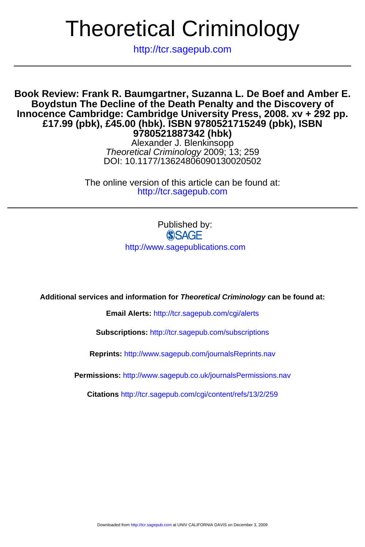## Theoretical Criminology

http://tcr.sagepub.com

**9780521887342 (hbk) £17.99 (pbk), £45.00 (hbk). ISBN 9780521715249 (pbk), ISBN Innocence Cambridge: Cambridge University Press, 2008. xv + 292 pp. Boydstun The Decline of the Death Penalty and the Discovery of Book Review: Frank R. Baumgartner, Suzanna L. De Boef and Amber E.**

DOI: 10.1177/13624806090130020502 Theoretical Criminology 2009; 13; 259 Alexander J. Blenkinsopp

http://tcr.sagepub.com The online version of this article can be found at:

Published by:<br>
SAGE

http://www.sagepublications.com

**Additional services and information for Theoretical Criminology can be found at:**

**Email Alerts:** <http://tcr.sagepub.com/cgi/alerts>

**Subscriptions:** <http://tcr.sagepub.com/subscriptions>

**Reprints:** <http://www.sagepub.com/journalsReprints.nav>

**Permissions:** <http://www.sagepub.co.uk/journalsPermissions.nav>

**Citations** <http://tcr.sagepub.com/cgi/content/refs/13/2/259>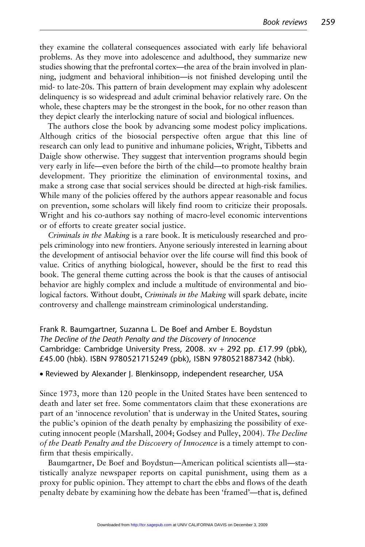they examine the collateral consequences associated with early life behavioral problems. As they move into adolescence and adulthood, they summarize new studies showing that the prefrontal cortex—the area of the brain involved in planning, judgment and behavioral inhibition—is not finished developing until the mid- to late-20s. This pattern of brain development may explain why adolescent delinquency is so widespread and adult criminal behavior relatively rare. On the whole, these chapters may be the strongest in the book, for no other reason than they depict clearly the interlocking nature of social and biological influences.

The authors close the book by advancing some modest policy implications. Although critics of the biosocial perspective often argue that this line of research can only lead to punitive and inhumane policies, Wright, Tibbetts and Daigle show otherwise. They suggest that intervention programs should begin very early in life—even before the birth of the child—to promote healthy brain development. They prioritize the elimination of environmental toxins, and make a strong case that social services should be directed at high-risk families. While many of the policies offered by the authors appear reasonable and focus on prevention, some scholars will likely find room to criticize their proposals. Wright and his co-authors say nothing of macro-level economic interventions or of efforts to create greater social justice.

*Criminals in the Making* is a rare book. It is meticulously researched and propels criminology into new frontiers. Anyone seriously interested in learning about the development of antisocial behavior over the life course will find this book of value. Critics of anything biological, however, should be the first to read this book. The general theme cutting across the book is that the causes of antisocial behavior are highly complex and include a multitude of environmental and biological factors. Without doubt, *Criminals in the Making* will spark debate, incite controversy and challenge mainstream criminological understanding.

Frank R. Baumgartner, Suzanna L. De Boef and Amber E. Boydstun *The Decline of the Death Penalty and the Discovery of Innocence* Cambridge: Cambridge University Press, 2008. xv + 292 pp. £17.99 (pbk), £45.00 (hbk). ISBN 9780521715249 (pbk), ISBN 9780521887342 (hbk).

• Reviewed by Alexander J. Blenkinsopp, independent researcher, USA

Since 1973, more than 120 people in the United States have been sentenced to death and later set free. Some commentators claim that these exonerations are part of an 'innocence revolution' that is underway in the United States, souring the public's opinion of the death penalty by emphasizing the possibility of executing innocent people (Marshall, 2004; Godsey and Pulley, 2004). *The Decline of the Death Penalty and the Discovery of Innocence* is a timely attempt to confirm that thesis empirically.

Baumgartner, De Boef and Boydstun—American political scientists all—statistically analyze newspaper reports on capital punishment, using them as a proxy for public opinion. They attempt to chart the ebbs and flows of the death penalty debate by examining how the debate has been 'framed'—that is, defined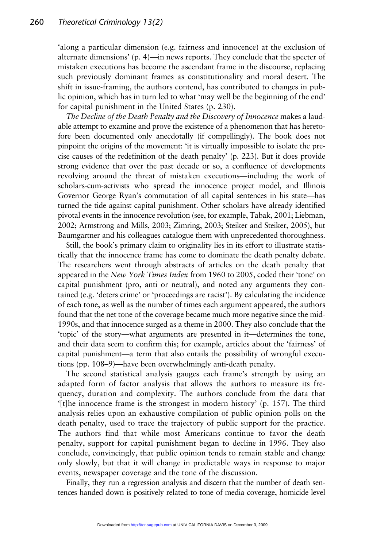'along a particular dimension (e.g. fairness and innocence) at the exclusion of alternate dimensions' (p. 4)—in news reports. They conclude that the specter of mistaken executions has become the ascendant frame in the discourse, replacing such previously dominant frames as constitutionality and moral desert. The shift in issue-framing, the authors contend, has contributed to changes in public opinion, which has in turn led to what 'may well be the beginning of the end' for capital punishment in the United States (p. 230).

*The Decline of the Death Penalty and the Discovery of Innocence* makes a laudable attempt to examine and prove the existence of a phenomenon that has heretofore been documented only anecdotally (if compellingly). The book does not pinpoint the origins of the movement: 'it is virtually impossible to isolate the precise causes of the redefinition of the death penalty' (p. 223). But it does provide strong evidence that over the past decade or so, a confluence of developments revolving around the threat of mistaken executions—including the work of scholars-cum-activists who spread the innocence project model, and Illinois Governor George Ryan's commutation of all capital sentences in his state—has turned the tide against capital punishment. Other scholars have already identified pivotal events in the innocence revolution (see, for example, Tabak, 2001; Liebman, 2002; Armstrong and Mills, 2003; Zimring, 2003; Steiker and Steiker, 2005), but Baumgartner and his colleagues catalogue them with unprecedented thoroughness.

Still, the book's primary claim to originality lies in its effort to illustrate statistically that the innocence frame has come to dominate the death penalty debate. The researchers went through abstracts of articles on the death penalty that appeared in the *New York Times Index* from 1960 to 2005, coded their 'tone' on capital punishment (pro, anti or neutral), and noted any arguments they contained (e.g. 'deters crime' or 'proceedings are racist'). By calculating the incidence of each tone, as well as the number of times each argument appeared, the authors found that the net tone of the coverage became much more negative since the mid-1990s, and that innocence surged as a theme in 2000. They also conclude that the 'topic' of the story—what arguments are presented in it—determines the tone, and their data seem to confirm this; for example, articles about the 'fairness' of capital punishment—a term that also entails the possibility of wrongful executions (pp. 108–9)—have been overwhelmingly anti-death penalty.

The second statistical analysis gauges each frame's strength by using an adapted form of factor analysis that allows the authors to measure its frequency, duration and complexity. The authors conclude from the data that '[t]he innocence frame is the strongest in modern history' (p. 157). The third analysis relies upon an exhaustive compilation of public opinion polls on the death penalty, used to trace the trajectory of public support for the practice. The authors find that while most Americans continue to favor the death penalty, support for capital punishment began to decline in 1996. They also conclude, convincingly, that public opinion tends to remain stable and change only slowly, but that it will change in predictable ways in response to major events, newspaper coverage and the tone of the discussion.

Finally, they run a regression analysis and discern that the number of death sentences handed down is positively related to tone of media coverage, homicide level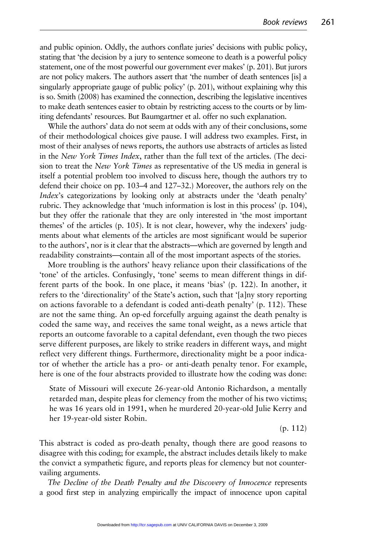and public opinion. Oddly, the authors conflate juries' decisions with public policy, stating that 'the decision by a jury to sentence someone to death is a powerful policy statement, one of the most powerful our government ever makes' (p. 201). But jurors are not policy makers. The authors assert that 'the number of death sentences [is] a singularly appropriate gauge of public policy' (p. 201), without explaining why this is so. Smith (2008) has examined the connection, describing the legislative incentives to make death sentences easier to obtain by restricting access to the courts or by limiting defendants' resources. But Baumgartner et al. offer no such explanation.

While the authors' data do not seem at odds with any of their conclusions, some of their methodological choices give pause. I will address two examples. First, in most of their analyses of news reports, the authors use abstracts of articles as listed in the *New York Times Index*, rather than the full text of the articles. (The decision to treat the *New York Times* as representative of the US media in general is itself a potential problem too involved to discuss here, though the authors try to defend their choice on pp. 103–4 and 127–32.) Moreover, the authors rely on the *Index*'s categorizations by looking only at abstracts under the 'death penalty' rubric. They acknowledge that 'much information is lost in this process' (p. 104), but they offer the rationale that they are only interested in 'the most important themes' of the articles (p. 105). It is not clear, however, why the indexers' judgments about what elements of the articles are most significant would be superior to the authors', nor is it clear that the abstracts—which are governed by length and readability constraints—contain all of the most important aspects of the stories.

More troubling is the authors' heavy reliance upon their classifications of the 'tone' of the articles. Confusingly, 'tone' seems to mean different things in different parts of the book. In one place, it means 'bias' (p. 122). In another, it refers to the 'directionality' of the State's action, such that '[a]ny story reporting on actions favorable to a defendant is coded anti-death penalty' (p. 112). These are not the same thing. An op-ed forcefully arguing against the death penalty is coded the same way, and receives the same tonal weight, as a news article that reports an outcome favorable to a capital defendant, even though the two pieces serve different purposes, are likely to strike readers in different ways, and might reflect very different things. Furthermore, directionality might be a poor indicator of whether the article has a pro- or anti-death penalty tenor. For example, here is one of the four abstracts provided to illustrate how the coding was done:

State of Missouri will execute 26-year-old Antonio Richardson, a mentally retarded man, despite pleas for clemency from the mother of his two victims; he was 16 years old in 1991, when he murdered 20-year-old Julie Kerry and her 19-year-old sister Robin.

(p. 112)

This abstract is coded as pro-death penalty, though there are good reasons to disagree with this coding; for example, the abstract includes details likely to make the convict a sympathetic figure, and reports pleas for clemency but not countervailing arguments.

*The Decline of the Death Penalty and the Discovery of Innocence* represents a good first step in analyzing empirically the impact of innocence upon capital